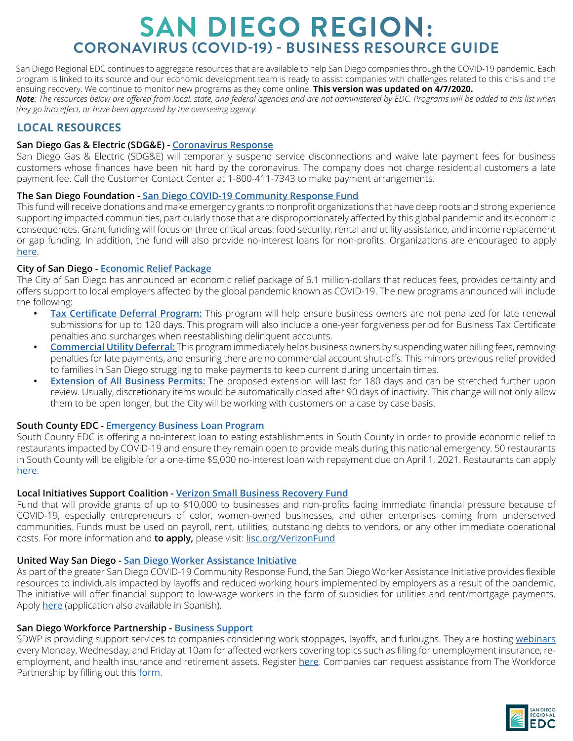San Diego Regional EDC continues to aggregate resources that are available to help San Diego companies through the COVID-19 pandemic. Each program is linked to its source and our economic development team is ready to assist companies with challenges related to this crisis and the ensuing recovery. We continue to monitor new programs as they come online. **This version was updated on 4/7/2020.** *Note: The resources below are offered from local, state, and federal agencies and are not administered by EDC. Programs will be added to this list when they go into effect, or have been approved by the overseeing agency.*

# **LOCAL RESOURCES**

### **San Diego Gas & Electric (SDG&E) - [Coronavirus Response](https://www.sdge.com/coronavirus)**

San Diego Gas & Electric (SDG&E) will temporarily suspend service disconnections and waive late payment fees for business customers whose finances have been hit hard by the coronavirus. The company does not charge residential customers a late payment fee. Call the Customer Contact Center at 1-800-411-7343 to make payment arrangements.

### **The San Diego Foundation - [San Diego COVID-19 Community Response Fund](https://www.sdfoundation.org/programs/programs-and-funds/san-diego-covid-19-community-response-fund/)**

This fund will receive donations and make emergency grants to nonprofit organizations that have deep roots and strong experience supporting impacted communities, particularly those that are disproportionately affected by this global pandemic and its economic consequences. Grant funding will focus on three critical areas: food security, rental and utility assistance, and income replacement or gap funding. In addition, the fund will also provide no-interest loans for non-profits. Organizations are encouraged to apply [here](http://app.smarterselect.com/programs/65695-The-San-Diego-Foundation-Community-Impact).

### **City of San Diego - [Economic Relief Package](https://www.sandiego.gov/mayor/news/releases/San-Diego-Enacts-Emergency-Moratorium-on-Evictions-Creates-Relief-Fund-for-Local-Businesses)**

The City of San Diego has announced an economic relief package of 6.1 million-dollars that reduces fees, provides certainty and offers support to local employers affected by the global pandemic known as COVID-19. The new programs announced will include the following:

- **• [Tax Certificate Deferral Program:](https://www.sandiego.gov/mayor/news/releases/mayor-faulconer-outlines-economic-relief-package-san-diego-businesses-affected-covid-19)** This program will help ensure business owners are not penalized for late renewal submissions for up to 120 days. This program will also include a one-year forgiveness period for Business Tax Certificate penalties and surcharges when reestablishing delinquent accounts.
- **• [Commercial Utility Deferral:](https://www.sandiego.gov/mayor/news/releases/mayor-faulconer-outlines-economic-relief-package-san-diego-businesses-affected-covid-19)** This program immediately helps business owners by suspending water billing fees, removing penalties for late payments, and ensuring there are no commercial account shut-offs. This mirrors previous relief provided to families in San Diego struggling to make payments to keep current during uncertain times.
- **• [Extension of All Business Permits:](https://www.sandiego.gov/mayor/news/releases/mayor-faulconer-outlines-economic-relief-package-san-diego-businesses-affected-covid-19)** The proposed extension will last for 180 days and can be stretched further upon review. Usually, discretionary items would be automatically closed after 90 days of inactivity. This change will not only allow them to be open longer, but the City will be working with customers on a case by case basis.

### **South County EDC - [Emergency Business Loan Program](https://www.southcountyedc.com/emergencybusinessloanprogram)**

South County EDC is offering a no-interest loan to eating establishments in South County in order to provide economic relief to restaurants impacted by COVID-19 and ensure they remain open to provide meals during this national emergency. 50 restaurants in South County will be eligible for a one-time \$5,000 no-interest loan with repayment due on April 1, 2021. Restaurants can apply [here](https://fd417926-b584-4cae-b70f-916106985972.filesusr.com/ugd/061260_afc7873044d444a9af07183be6bfe072.pdf).

#### **Local Initiatives Support Coalition - [Verizon Small Business Recovery Fund](https://www.lisc.org/covid-19/verizon-small-business-recovery-fund/)**

Fund that will provide grants of up to \$10,000 to businesses and non-profits facing immediate financial pressure because of COVID-19, especially entrepreneurs of color, women-owned businesses, and other enterprises coming from underserved communities. Funds must be used on payroll, rent, utilities, outstanding debts to vendors, or any other immediate operational costs. For more information and **to apply,** please visit: [lisc.org/VerizonFund](https://www.lisc.org/covid-19/verizon-small-business-recovery-fund/)

#### **United Way San Diego - [San Diego Worker Assistance Initiative](https://uwsd.org/covid19/)**

As part of the greater San Diego COVID-19 Community Response Fund, the San Diego Worker Assistance Initiative provides flexible resources to individuals impacted by layoffs and reduced working hours implemented by employers as a result of the pandemic. The initiative will offer financial support to low-wage workers in the form of subsidies for utilities and rent/mortgage payments. Apply [her](https://www.surveymonkey.com/r/WAIappenglish)e (application also available in Spanish).

### **San Diego Workforce Partnership - [Business Support](https://workforce.org/covid-19-bus/)**

SDWP is providing support services to companies considering work stoppages, layoffs, and furloughs. They are hosting [webinars](https://register.gotowebinar.com/rt/527991386976247309) every Monday, Wednesday, and Friday at 10am for affected workers covering topics such as filing for unemployment insurance, reemployment, and health insurance and retirement assets. Register [here](https://register.gotowebinar.com/rt/527991386976247309). Companies can request assistance from The Workforce Partnership by filling out this [form](https://forms.workforce.org/form-5339245/COVID19-Employee-Support).

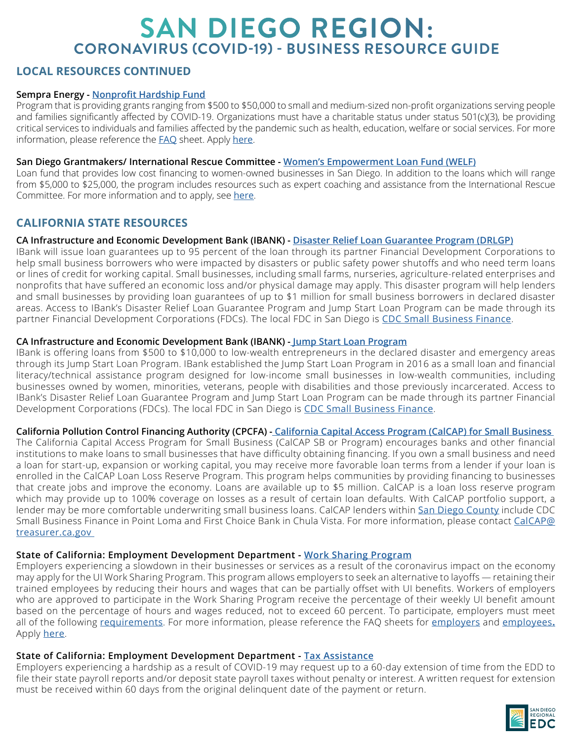## **LOCAL RESOURCES CONTINUED**

### **Sempra Energy - [Nonprofit Hardship Fund](https://www.sempraenergyfoundation.org/pages/areas-of-giving/health-and-safety.shtml)**

Program that is providing grants ranging from \$500 to \$50,000 to small and medium-sized non-profit organizations serving people and families significantly affected by COVID-19. Organizations must have a charitable status under status 501(c)(3), be providing critical services to individuals and families affected by the pandemic such as health, education, welfare or social services. For more information, please reference the **[FAQ](https://www.sempraenergyfoundation.org/pages/FAQ.shtml)** sheet. Apply [here](https://www.grantrequest.com/CreateAccount.aspx?ReturnUrl=%2fapplication.aspx%3fSA%3dSNA%26FID%3d35163%26sid%3d251&SA=SNA&FID=35163&sid=251).

### **San Diego Grantmakers/ International Rescue Committee - [Women's Empowerment Loan Fund \(WELF\)](https://sdgrantmakers.org/welf)**

Loan fund that provides low cost financing to women-owned businesses in San Diego. In addition to the loans which will range from \$5,000 to \$25,000, the program includes resources such as expert coaching and assistance from the International Rescue Committee. For more information and to apply, see [here](https://sdgrantmakers.org/welf).

## **CALIFORNIA STATE RESOURCES**

### **CA Infrastructure and Economic Development Bank (IBANK) - [Disaster Relief Loan Guarantee Program \(DRLGP\)](https://www.ibank.ca.gov/small-business-finance-center/)**

IBank will issue loan guarantees up to 95 percent of the loan through its partner Financial Development Corporations to help small business borrowers who were impacted by disasters or public safety power shutoffs and who need term loans or lines of credit for working capital. Small businesses, including small farms, nurseries, agriculture-related enterprises and nonprofits that have suffered an economic loss and/or physical damage may apply. This disaster program will help lenders and small businesses by providing loan guarantees of up to \$1 million for small business borrowers in declared disaster areas. Access to IBank's Disaster Relief Loan Guarantee Program and Jump Start Loan Program can be made through its partner Financial Development Corporations (FDCs). The local FDC in San Diego is [CDC Small Business Finance](https://cdcloans.com/).

### **CA Infrastructure and Economic Development Bank (IBANK) - [Jump Start Loan Program](https://www.ibank.ca.gov/small-business-finance-center/)**

IBank is offering loans from \$500 to \$10,000 to low-wealth entrepreneurs in the declared disaster and emergency areas through its Jump Start Loan Program. IBank established the Jump Start Loan Program in 2016 as a small loan and financial literacy/technical assistance program designed for low-income small businesses in low-wealth communities, including businesses owned by women, minorities, veterans, people with disabilities and those previously incarcerated. Access to IBank's Disaster Relief Loan Guarantee Program and Jump Start Loan Program can be made through its partner Financial Development Corporations (FDCs). The local FDC in San Diego is [CDC Small Business Finance](mailto:https://cdcloans.com/?subject=).

### **California Pollution Control Financing Authority (CPCFA) [- California Capital Access Program \(CalCAP\) for Small Business](https://www.treasurer.ca.gov/cpcfa/calcap/sb/index.asp)**

The California Capital Access Program for Small Business (CalCAP SB or Program) encourages banks and other financial institutions to make loans to small businesses that have difficulty obtaining financing. If you own a small business and need a loan for start-up, expansion or working capital, you may receive more favorable loan terms from a lender if your loan is enrolled in the CalCAP Loan Loss Reserve Program. This program helps communities by providing financing to businesses that create jobs and improve the economy. Loans are available up to \$5 million. CalCAP is a loan loss reserve program which may provide up to 100% coverage on losses as a result of certain loan defaults. With CalCAP portfolio support, a lender may be more comfortable underwriting small business loans. CalCAP lenders within [San Diego County](https://www.treasurer.ca.gov/cpcfa/calcap/sb/institutions.pdf) include CDC Small Business Finance in Point Loma and First Choice Bank in Chula Vista. For more information, please contact [CalCAP@](mailto:CalCAP%40treasurer.ca.gov%20%0D?subject=) [treasurer.ca.gov](mailto:CalCAP%40treasurer.ca.gov%20%0D?subject=) 

### **State of California: Employment Development Department - [Work Sharing Program](https://www.edd.ca.gov/Unemployment/Work_Sharing_Program.htm)**

Employers experiencing a slowdown in their businesses or services as a result of the coronavirus impact on the economy may apply for the UI Work Sharing Program. This program allows employers to seek an alternative to layoffs — retaining their trained employees by reducing their hours and wages that can be partially offset with UI benefits. Workers of employers who are approved to participate in the Work Sharing Program receive the percentage of their weekly UI benefit amount based on the percentage of hours and wages reduced, not to exceed 60 percent. To participate, employers must meet all of the following [requirements](https://www.edd.ca.gov/Unemployment/Work_Sharing_Program.htm). For more information, please reference the FAQ sheets for [employers](https://www.edd.ca.gov/Unemployment/FAQ_-_Work_Sharing_Information_For_Employers.htm) and [employees](https://www.edd.ca.gov/Unemployment/FAQ_-_Work_Sharing_Information_For_Employees.htm)**.** Apply [here](https://www.edd.ca.gov/pdf_pub_ctr/de8686.pdf).

### **State of California: Employment Development Department - [Tax Assistance](https://www.edd.ca.gov/about_edd/coronavirus-2019.htm)**

Employers experiencing a hardship as a result of COVID-19 may request up to a 60-day extension of time from the EDD to file their state payroll reports and/or deposit state payroll taxes without penalty or interest. A written request for extension must be received within 60 days from the original delinquent date of the payment or return.

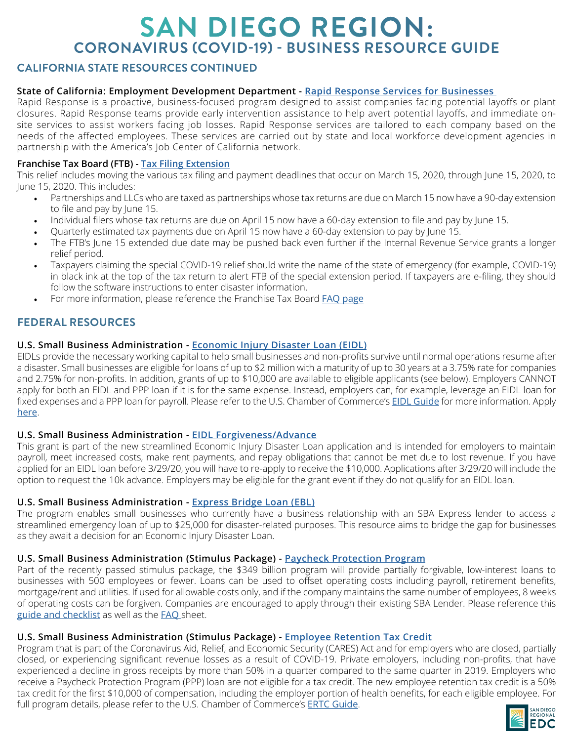## **CALIFORNIA STATE RESOURCES CONTINUED**

### **State of California: Employment Development Department - [Rapid Response Services for Businesses](https://www.edd.ca.gov/about_edd/coronavirus-2019.htm)**

Rapid Response is a proactive, business-focused program designed to assist companies facing potential layoffs or plant closures. Rapid Response teams provide early intervention assistance to help avert potential layoffs, and immediate onsite services to assist workers facing job losses. Rapid Response services are tailored to each company based on the needs of the affected employees. These services are carried out by state and local workforce development agencies in partnership with the America's Job Center of California network.

### **Franchise Tax Board (FTB) - [Tax Filing Extension](https://www.ftb.ca.gov/about-ftb/newsroom/news-releases/2020-2-more-time-to-file-pay-for-california-taxpayers-affected-by-the-covid-19-pandemic.html?WT.ac=COVID-19)**

This relief includes moving the various tax filing and payment deadlines that occur on March 15, 2020, through June 15, 2020, to June 15, 2020. This includes:

- Partnerships and LLCs who are taxed as partnerships whose tax returns are due on March 15 now have a 90-day extension to file and pay by June 15.
- Individual filers whose tax returns are due on April 15 now have a 60-day extension to file and pay by June 15.
- Quarterly estimated tax payments due on April 15 now have a 60-day extension to pay by June 15.
- The FTB's June 15 extended due date may be pushed back even further if the Internal Revenue Service grants a longer relief period.
- Taxpayers claiming the special COVID-19 relief should write the name of the state of emergency (for example, COVID-19) in black ink at the top of the tax return to alert FTB of the special extension period. If taxpayers are e-filing, they should follow the software instructions to enter disaster information.
- For more information, please reference the Franchise Tax Board **[FAQ page](mailto:https://www.ftb.ca.gov/about-ftb/newsroom/covid-19/help-with-covid-19.html?subject=)**

## **FEDERAL RESOURCES**

### **U.S. Small Business Administration - [Economic Injury Disaster Loan \(EIDL\)](https://disasterloan.sba.gov/ela/Information/EIDLLoans)**

EIDLs provide the necessary working capital to help small businesses and non-profits survive until normal operations resume after a disaster. Small businesses are eligible for loans of up to \$2 million with a maturity of up to 30 years at a 3.75% rate for companies and 2.75% for non-profits. In addition, grants of up to \$10,000 are available to eligible applicants (see below). Employers CANNOT apply for both an EIDL and PPP loan if it is for the same expense. Instead, employers can, for example, leverage an EIDL loan for fixed expenses and a PPP loan for payroll. Please refer to the U.S. Chamber of Commerce's [EIDL Guide](https://www.uschamber.com/sites/default/files/uscc_covid19_sb-economic-injury-disaster-loans.pdf) for more information. Apply [here](https://covid19relief.sba.gov/#/).

#### **U.S. Small Business Administration - [E](https://www.sba.gov/document/support--express-bridge-loan-pilot-program-guide)IDL Forgiveness/Advance**

This grant is part of the new streamlined Economic Injury Disaster Loan application and is intended for employers to maintain payroll, meet increased costs, make rent payments, and repay obligations that cannot be met due to lost revenue. If you have applied for an EIDL loan before 3/29/20, you will have to re-apply to receive the \$10,000. Applications after 3/29/20 will include the option to request the 10k advance. Employers may be eligible for the grant event if they do not qualify for an EIDL loan.

#### **U.S. Small Business Administration - [Express Bridge Loan \(EBL\)](https://www.sba.gov/document/support--express-bridge-loan-pilot-program-guide)**

The program enables small businesses who currently have a business relationship with an SBA Express lender to access a streamlined emergency loan of up to \$25,000 for disaster-related purposes. This resource aims to bridge the gap for businesses as they await a decision for an Economic Injury Disaster Loan.

### **U.S. Small Business Administration (Stimulus Package) - [Paycheck Protection Program](https://home.treasury.gov/policy-issues/top-priorities/cares-act/assistance-for-small-businesses)**

Part of the recently passed stimulus package, the \$349 billion program will provide partially forgivable, low-interest loans to businesses with 500 employees or fewer. Loans can be used to offset operating costs including payroll, retirement benefits, mortgage/rent and utilities. If used for allowable costs only, and if the company maintains the same number of employees, 8 weeks of operating costs can be forgiven. Companies are encouraged to apply through their existing SBA Lender. Please reference this [guide and checklist](https://www.uschamber.com/sites/default/files/023595_comm_corona_virus_smallbiz_loan_final.pdf) as well as the **FAQ** sheet.

#### **U.S. Small Business Administration (Stimulus Package) - [Employee Retention Tax Credit](https://www.uschamber.com/sites/default/files/uscc_covid19_employee-retention-tax-credit.pdf)**

Program that is part of the Coronavirus Aid, Relief, and Economic Security (CARES) Act and for employers who are closed, partially closed, or experiencing significant revenue losses as a result of COVID-19. Private employers, including non-profits, that have experienced a decline in gross receipts by more than 50% in a quarter compared to the same quarter in 2019. Employers who receive a Paycheck Protection Program (PPP) loan are not eligible for a tax credit. The new employee retention tax credit is a 50% tax credit for the first \$10,000 of compensation, including the employer portion of health benefits, for each eligible employee. For full program details, please refer to the U.S. Chamber of Commerce's [ERTC Guide](https://www.uschamber.com/sites/default/files/uscc_covid19_employee-retention-tax-credit.pdf).

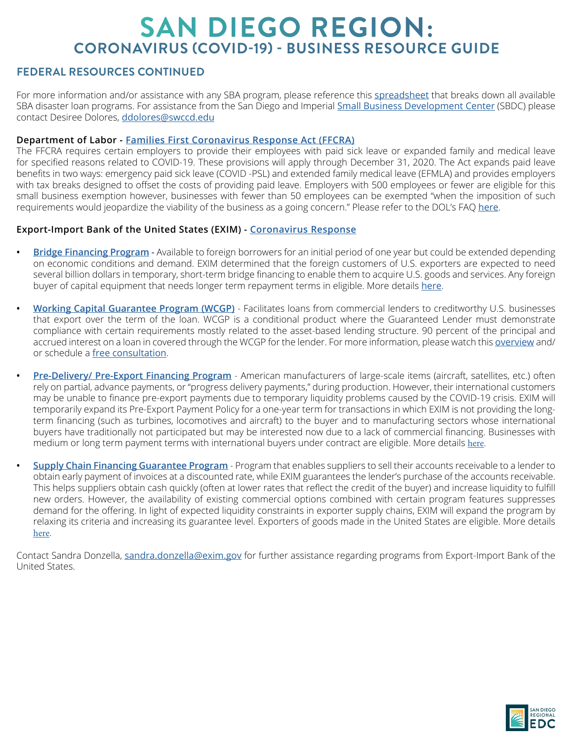## **FEDERAL RESOURCES CONTINUED**

For more information and/or assistance with any SBA program, please reference this [spreadsheet](https://docs.google.com/spreadsheets/d/12xv4xcsg_9xoVeEE_Y1j2sicNbCvl2GAVinSowU2zgg/edit#gid=702828758) that breaks down all available SBA disaster loan programs. For assistance from the San Diego and Imperial [Small Business Development Center](https://www.sdivsbdc.org/) (SBDC) please contact Desiree Dolores, [ddolores@swccd.edu](mailto:ddolores%40swccd.edu?subject=)

### **Department of Labor - [Families First Coronavirus Response Act](https://www.dol.gov/agencies/whd/pandemic/ffcra-employer-paid-leave) (FFCRA)**

The FFCRA requires certain employers to provide their employees with paid sick leave or expanded family and medical leave for specified reasons related to COVID-19. These provisions will apply through December 31, 2020. The Act expands paid leave benefits in two ways: emergency paid sick leave (COVID -PSL) and extended family medical leave (EFMLA) and provides employers with tax breaks designed to offset the costs of providing paid leave. Employers with 500 employees or fewer are eligible for this small business exemption however, businesses with fewer than 50 employees can be exempted "when the imposition of such requirements would jeopardize the viability of the business as a going concern." Please refer to the DOL's FAQ [here](https://www.dol.gov/agencies/whd/pandemic/ffcra-questions).

### **Export-Import Bank of the United States (EXIM) - [Coronavirus Response](https://www.exim.gov/coronavirus-response)**

- **• Bridge Financing Program** Available to foreign borrowers for an initial period of one year but could be extended depending on economic conditions and demand. EXIM determined that the foreign customers of U.S. exporters are expected to need several billion dollars in temporary, short-term bridge financing to enable them to acquire U.S. goods and services. Any foreign buyer of capital equipment that needs longer term repayment terms in eligible. More details [here](https://www.exim.gov/coronavirus-response/fact-sheet-exim-establishes-bridge-financing-program).
- **• [Working Capital Guarantee Program \(WCGP\)](https://www.exim.gov/sites/default/files/newsreleases/2020/Fact_Sheet_-_Working_Capital_Guarantee_Program_-_FINAL.pdf)** Facilitates loans from commercial lenders to creditworthy U.S. businesses that export over the term of the loan. WCGP is a conditional product where the Guaranteed Lender must demonstrate compliance with certain requirements mostly related to the asset-based lending structure. 90 percent of the principal and accrued interest on a loan in covered through the WCGP for the lender. For more information, please watch this [overview](https://grow.exim.gov/consultationrequest?hsCtaTracking=dfec8baf-fd61-4698-9f8f-d596167188c9|3298ebfa-bcaa-48d8-8722-3ff66b832568) and/ or schedule a [free consultation](https://grow.exim.gov/consultationrequest?hsCtaTracking=dfec8baf-fd61-4698-9f8f-d596167188c9|3298ebfa-bcaa-48d8-8722-3ff66b832568).
- **• Pre-Delivery/ Pre-Export Financing Program** American manufacturers of large-scale items (aircraft, satellites, etc.) often rely on partial, advance payments, or "progress delivery payments," during production. However, their international customers may be unable to finance pre-export payments due to temporary liquidity problems caused by the COVID-19 crisis. EXIM will temporarily expand its Pre-Export Payment Policy for a one-year term for transactions in which EXIM is not providing the longterm financing (such as turbines, locomotives and aircraft) to the buyer and to manufacturing sectors whose international buyers have traditionally not participated but may be interested now due to a lack of commercial financing. Businesses with medium or long term payment terms with international buyers under contract are eligible. More details [here](https://www.exim.gov/coronavirus-response/fact-sheet-exim-temporarily-expands-pre-export-payment-program).
- **• [Supply Chain Financing Guarantee Program](https://www.exim.gov/coronavirus-response/fact-sheet-background-on-supply-chain-financing-guarantee-program)** Program that enables suppliers to sell their accounts receivable to a lender to obtain early payment of invoices at a discounted rate, while EXIM guarantees the lender's purchase of the accounts receivable. This helps suppliers obtain cash quickly (often at lower rates that reflect the credit of the buyer) and increase liquidity to fulfill new orders. However, the availability of existing commercial options combined with certain program features suppresses demand for the offering. In light of expected liquidity constraints in exporter supply chains, EXIM will expand the program by relaxing its criteria and increasing its guarantee level. Exporters of goods made in the United States are eligible. More details [here](https://www.exim.gov/coronavirus-response/fact-sheet-background-on-supply-chain-financing-guarantee-program).

Contact Sandra Donzella, sandra.donzella@exim.gov for further assistance regarding programs from Export-Import Bank of the United States.

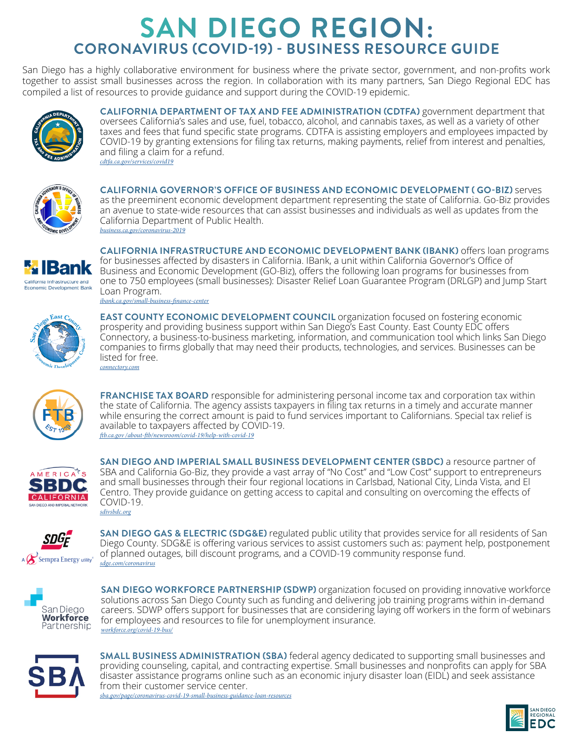San Diego has a highly collaborative environment for business where the private sector, government, and non-profits work together to assist small businesses across the region. In collaboration with its many partners, San Diego Regional EDC has compiled a list of resources to provide guidance and support during the COVID-19 epidemic.



**CALIFORNIA DEPARTMENT OF TAX AND FEE ADMINISTRATION (CDTFA)** government department that oversees California's sales and use, fuel, tobacco, alcohol, and cannabis taxes, as well as a variety of other taxes and fees that fund specific state programs. CDTFA is assisting employers and employees impacted by COVID-19 by granting extensions for filing tax returns, making payments, relief from interest and penalties, and filing a claim for a refund. *[cdtfa.ca.gov/services/covid19](https://www.ibank.ca.gov/small-business-finance-center/)*



**CALIFORNIA GOVERNOR'S OFFICE OF BUSINESS AND ECONOMIC DEVELOPMENT ( GO-BIZ)** serves as the preeminent economic development department representing the state of California. Go-Biz provides an avenue to state-wide resources that can assist businesses and individuals as well as updates from the California Department of Public Health. *[business.ca.gov/coronavirus-2019](https://www.treasurer.ca.gov/cpcfa/calcap/sb/index.asp)*



**CALIFORNIA INFRASTRUCTURE AND ECONOMIC DEVELOPMENT BANK (IBANK)** offers loan programs for businesses affected by disasters in California. IBank, a unit within California Governor's Office of Business and Economic Development (GO-Biz), offers the following loan programs for businesses from one to 750 employees (small businesses): Disaster Relief Loan Guarantee Program (DRLGP) and Jump Start Loan Program. *[ibank.ca.gov/small-business-finance-center](https://www.ibank.ca.gov/small-business-finance-center/)*



**EAST COUNTY ECONOMIC DEVELOPMENT COUNCIL** organization focused on fostering economic prosperity and providing business support within San Diego's East County. East County EDC offers Connectory, a business-to-business marketing, information, and communication tool which links San Diego companies to firms globally that may need their products, technologies, and services. Businesses can be listed for free. *[connectory](https://www.connectory.com/).com*



**FRANCHISE TAX BOARD** responsible for administering personal income tax and corporation tax within the state of California. The agency assists taxpayers in filing tax returns in a timely and accurate manner while ensuring the correct amount is paid to fund services important to Californians. Special tax relief is available to taxpayers affected by COVID-19. *[ftb.ca.gov /about-ftb/newsroom/covid-19/help-with-covid-19](https://www.sdfoundation.org/programs/programs-and-funds/san-diego-covid-19-community-response-fund/)*



**SAN DIEGO AND IMPERIAL SMALL BUSINESS DEVELOPMENT CENTER (SBDC)** a resource partner of SBA and California Go-Biz, they provide a vast array of "No Cost" and "Low Cost" support to entrepreneurs and small businesses through their four regional locations in Carlsbad, National City, Linda Vista, and El Centro. They provide guidance on getting access to capital and consulting on overcoming the effects of COVID-19. *[sdivsbdc.org](https://disasterloan.sba.gov/ela/Information/EIDLLoans)*



**SAN DIEGO GAS & ELECTRIC (SDG&E)** regulated public utility that provides service for all residents of San Diego County. SDG&E is offering various services to assist customers such as: payment help, postponement of planned outages, bill discount programs, and a COVID-19 community response fund. *[sdge.com/coronavirus](https://www.exim.gov/what-we-do/working-capital)*



**SAN DIEGO WORKFORCE PARTNERSHIP (SDWP)** organization focused on providing innovative workforce solutions across San Diego County such as funding and delivering job training programs within in-demand careers. SDWP offers support for businesses that are considering laying off workers in the form of webinars for employees and resources to file for unemployment insurance. *[workforce.org/covid-19-bus/](https://workforce.org/covid-19-bus/)*



**SMALL BUSINESS ADMINISTRATION (SBA)** federal agency dedicated to supporting small businesses and providing counseling, capital, and contracting expertise. Small businesses and nonprofits can apply for SBA disaster assistance programs online such as an economic injury disaster loan (EIDL) and seek assistance from their customer service center. *[sba.gov/page/coronavirus-covid-19-small-business-guidance-loan-resources](https://2016.export.gov/reee/guide/eg_main_022152.asp)*

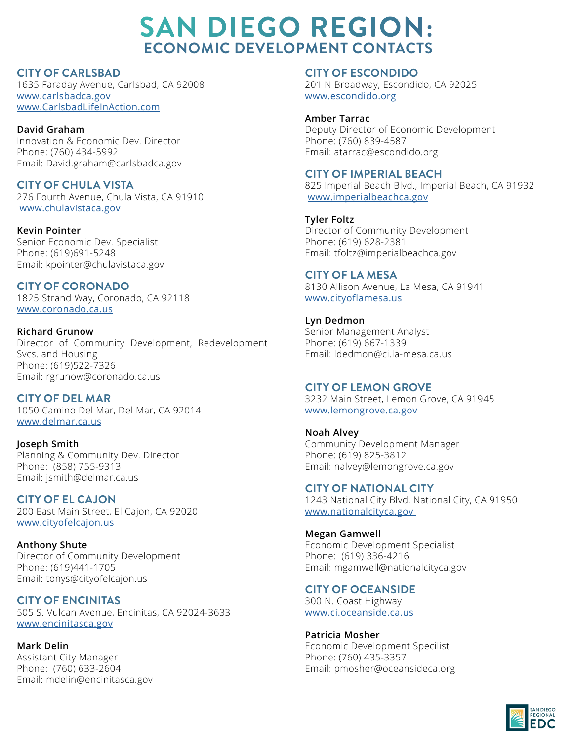# **SAN DIEGO REGION: ECONOMIC DEVELOPMENT CONTACTS**

**CITY OF CARLSBAD**

1635 Faraday Avenue, Carlsbad, CA 92008 [www.carlsbadca.gov](http://www.carlsbadca.gov  ) [www.CarlsbadLifeInAction.com](http://www.CarlsbadLifeInAction.com )

**David Graham** Innovation & Economic Dev. Director Phone: (760) 434-5992 Email: David.graham@carlsbadca.gov

**CITY OF CHULA VISTA**  276 Fourth Avenue, Chula Vista, CA 91910 [www.c](http://www.carlsbadca.gov  )hulavistaca.gov

**Kevin Pointer** Senior Economic Dev. Specialist Phone: (619)691-5248 Email: kpointer@chulavistaca.gov

**CITY OF CORONADO** 1825 Strand Way, Coronado, CA 92118 www.coronado.ca.us

**Richard Grunow** Director of Community Development, Redevelopment Svcs. and Housing Phone: (619)522-7326 Email: rgrunow@coronado.ca.us

**CITY OF DEL MAR**  1050 Camino Del Mar, Del Mar, CA 92014 www.delmar.ca.us

**Joseph Smith** Planning & Community Dev. Director Phone: (858) 755-9313 Email: jsmith@delmar.ca.us

**CITY OF EL CAJON**  200 East Main Street, El Cajon, CA 92020 www.cityofelcajon.us

**Anthony Shute** Director of Community Development Phone: (619)441-1705 Email: tonys@cityofelcajon.us

**CITY OF ENCINITAS** 505 S. Vulcan Avenue, Encinitas, CA 92024-3633 www.encinitasca.gov

**Mark Delin** Assistant City Manager Phone: (760) 633-2604 Email: mdelin@encinitasca.gov

**CITY OF ESCONDIDO** 201 N Broadway, Escondido, CA 92025 www.escondido.org

**Amber Tarrac** Deputy Director of Economic Development Phone: (760) 839-4587 Email: atarrac@escondido.org

#### **CITY OF IMPERIAL BEACH** 825 Imperial Beach Blvd., Imperial Beach, CA 91932

www.imperialbeachca.gov **Tyler Foltz**

Director of Community Development Phone: (619) 628-2381 Email: tfoltz@imperialbeachca.gov

## **CITY OF LA MESA**

8130 Allison Avenue, La Mesa, CA 91941 www.cityoflamesa.us

**Lyn Dedmon** Senior Management Analyst Phone: (619) 667-1339 Email: ldedmon@ci.la-mesa.ca.us

## **CITY OF LEMON GROVE**

3232 Main Street, Lemon Grove, CA 91945 www.lemongrove.ca.gov

**Noah Alvey** Community Development Manager Phone: (619) 825-3812 Email: nalvey@lemongrove.ca.gov

**CITY OF NATIONAL CITY**  1243 National City Blvd, National City, CA 91950 www.nationalcityca.gov

**Megan Gamwell** Economic Development Specialist Phone: (619) 336-4216 Email: mgamwell@nationalcityca.gov

**CITY OF OCEANSIDE** 

300 N. Coast Highway www.ci.oceanside.ca.us

**Patricia Mosher** Economic Development Specilist Phone: (760) 435-3357 Email: pmosher@oceansideca.org